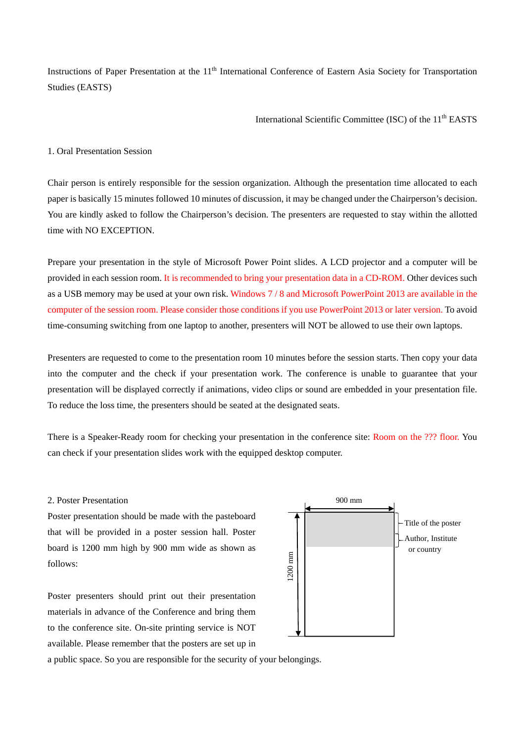Instructions of Paper Presentation at the 11<sup>th</sup> International Conference of Eastern Asia Society for Transportation Studies (EASTS)

## International Scientific Committee (ISC) of the 11<sup>th</sup> EASTS

1. Oral Presentation Session

Chair person is entirely responsible for the session organization. Although the presentation time allocated to each paper is basically 15 minutes followed 10 minutes of discussion, it may be changed under the Chairperson's decision. You are kindly asked to follow the Chairperson's decision. The presenters are requested to stay within the allotted time with NO EXCEPTION.

Prepare your presentation in the style of Microsoft Power Point slides. A LCD projector and a computer will be provided in each session room. It is recommended to bring your presentation data in a CD-ROM. Other devices such as a USB memory may be used at your own risk. Windows 7 / 8 and Microsoft PowerPoint 2013 are available in the computer of the session room. Please consider those conditions if you use PowerPoint 2013 or later version. To avoid time-consuming switching from one laptop to another, presenters will NOT be allowed to use their own laptops.

Presenters are requested to come to the presentation room 10 minutes before the session starts. Then copy your data into the computer and the check if your presentation work. The conference is unable to guarantee that your presentation will be displayed correctly if animations, video clips or sound are embedded in your presentation file. To reduce the loss time, the presenters should be seated at the designated seats.

There is a Speaker-Ready room for checking your presentation in the conference site: Room on the ??? floor. You can check if your presentation slides work with the equipped desktop computer.

## 2. Poster Presentation

Poster presentation should be made with the pasteboard that will be provided in a poster session hall. Poster board is 1200 mm high by 900 mm wide as shown as follows:

Poster presenters should print out their presentation materials in advance of the Conference and bring them to the conference site. On-site printing service is NOT available. Please remember that the posters are set up in



a public space. So you are responsible for the security of your belongings.